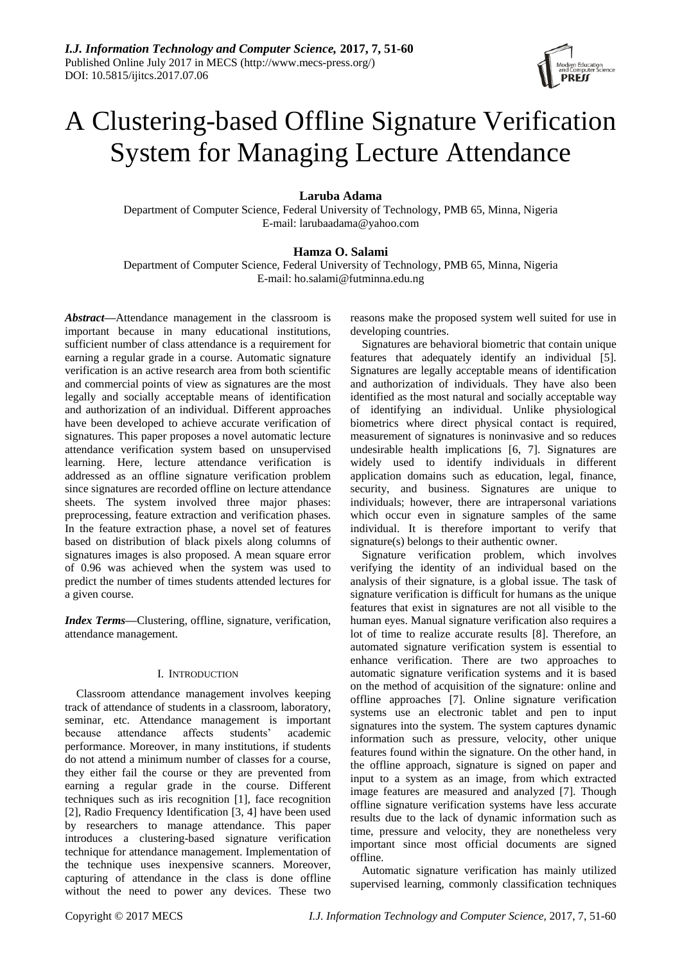

# A Clustering-based Offline Signature Verification System for Managing Lecture Attendance

# **Laruba Adama**

Department of Computer Science, Federal University of Technology, PMB 65, Minna, Nigeria E-mail: larubaadama@yahoo.com

# **Hamza O. Salami**

Department of Computer Science, Federal University of Technology, PMB 65, Minna, Nigeria E-mail: ho.salami@futminna.edu.ng

*Abstract***—**Attendance management in the classroom is important because in many educational institutions, sufficient number of class attendance is a requirement for earning a regular grade in a course. Automatic signature verification is an active research area from both scientific and commercial points of view as signatures are the most legally and socially acceptable means of identification and authorization of an individual. Different approaches have been developed to achieve accurate verification of signatures. This paper proposes a novel automatic lecture attendance verification system based on unsupervised learning. Here, lecture attendance verification is addressed as an offline signature verification problem since signatures are recorded offline on lecture attendance sheets. The system involved three major phases: preprocessing, feature extraction and verification phases. In the feature extraction phase, a novel set of features based on distribution of black pixels along columns of signatures images is also proposed. A mean square error of 0.96 was achieved when the system was used to predict the number of times students attended lectures for a given course.

*Index Terms***—**Clustering, offline, signature, verification, attendance management.

## I. INTRODUCTION

Classroom attendance management involves keeping track of attendance of students in a classroom, laboratory, seminar, etc. Attendance management is important because attendance affects students' academic performance. Moreover, in many institutions, if students do not attend a minimum number of classes for a course, they either fail the course or they are prevented from earning a regular grade in the course. Different techniques such as iris recognition [1], face recognition [2], Radio Frequency Identification [3, 4] have been used by researchers to manage attendance. This paper introduces a clustering-based signature verification technique for attendance management. Implementation of the technique uses inexpensive scanners. Moreover, capturing of attendance in the class is done offline without the need to power any devices. These two

reasons make the proposed system well suited for use in developing countries.

Signatures are behavioral biometric that contain unique features that adequately identify an individual [5]. Signatures are legally acceptable means of identification and authorization of individuals. They have also been identified as the most natural and socially acceptable way of identifying an individual. Unlike physiological biometrics where direct physical contact is required, measurement of signatures is noninvasive and so reduces undesirable health implications [6, 7]. Signatures are widely used to identify individuals in different application domains such as education, legal, finance, security, and business. Signatures are unique to individuals; however, there are intrapersonal variations which occur even in signature samples of the same individual. It is therefore important to verify that signature(s) belongs to their authentic owner.

Signature verification problem, which involves verifying the identity of an individual based on the analysis of their signature, is a global issue. The task of signature verification is difficult for humans as the unique features that exist in signatures are not all visible to the human eyes. Manual signature verification also requires a lot of time to realize accurate results [8]. Therefore, an automated signature verification system is essential to enhance verification. There are two approaches to automatic signature verification systems and it is based on the method of acquisition of the signature: online and offline approaches [7]. Online signature verification systems use an electronic tablet and pen to input signatures into the system. The system captures dynamic information such as pressure, velocity, other unique features found within the signature. On the other hand, in the offline approach, signature is signed on paper and input to a system as an image, from which extracted image features are measured and analyzed [7]. Though offline signature verification systems have less accurate results due to the lack of dynamic information such as time, pressure and velocity, they are nonetheless very important since most official documents are signed offline.

Automatic signature verification has mainly utilized supervised learning, commonly classification techniques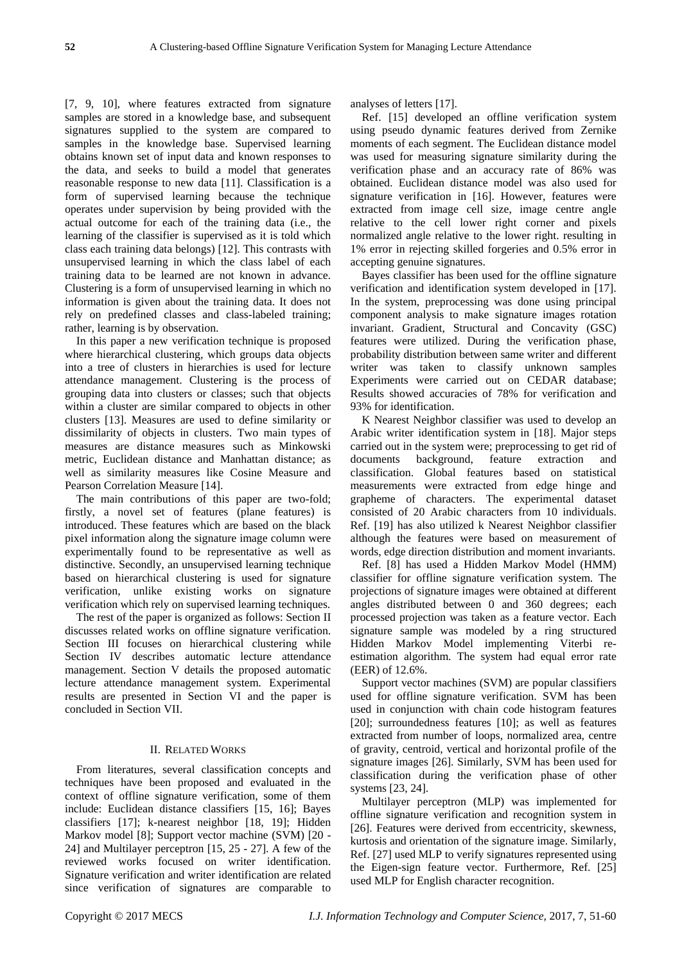[7, 9, 10], where features extracted from signature samples are stored in a knowledge base, and subsequent signatures supplied to the system are compared to samples in the knowledge base. Supervised learning obtains known set of input data and known responses to the data, and seeks to build a model that generates reasonable response to new data [11]. Classification is a form of supervised learning because the technique operates under supervision by being provided with the actual outcome for each of the training data (i.e., the learning of the classifier is supervised as it is told which class each training data belongs) [12]. This contrasts with unsupervised learning in which the class label of each training data to be learned are not known in advance. Clustering is a form of unsupervised learning in which no information is given about the training data. It does not rely on predefined classes and class-labeled training; rather, learning is by observation.

In this paper a new verification technique is proposed where hierarchical clustering, which groups data objects into a tree of clusters in hierarchies is used for lecture attendance management. Clustering is the process of grouping data into clusters or classes; such that objects within a cluster are similar compared to objects in other clusters [13]. Measures are used to define similarity or dissimilarity of objects in clusters. Two main types of measures are distance measures such as Minkowski metric, Euclidean distance and Manhattan distance; as well as similarity measures like Cosine Measure and Pearson Correlation Measure [14].

The main contributions of this paper are two-fold; firstly, a novel set of features (plane features) is introduced. These features which are based on the black pixel information along the signature image column were experimentally found to be representative as well as distinctive. Secondly, an unsupervised learning technique based on hierarchical clustering is used for signature verification, unlike existing works on signature verification which rely on supervised learning techniques.

The rest of the paper is organized as follows: Section II discusses related works on offline signature verification. Section III focuses on hierarchical clustering while Section IV describes automatic lecture attendance management. Section V details the proposed automatic lecture attendance management system. Experimental results are presented in Section VI and the paper is concluded in Section VII.

## II. RELATED WORKS

From literatures, several classification concepts and techniques have been proposed and evaluated in the context of offline signature verification, some of them include: Euclidean distance classifiers [15, 16]; Bayes classifiers [17]; k-nearest neighbor [18, 19]; Hidden Markov model [8]; Support vector machine (SVM) [20 - 24] and Multilayer perceptron [15, 25 - 27]. A few of the reviewed works focused on writer identification. Signature verification and writer identification are related since verification of signatures are comparable to analyses of letters [17].

Ref. [15] developed an offline verification system using pseudo dynamic features derived from Zernike moments of each segment. The Euclidean distance model was used for measuring signature similarity during the verification phase and an accuracy rate of 86% was obtained. Euclidean distance model was also used for signature verification in [16]. However, features were extracted from image cell size, image centre angle relative to the cell lower right corner and pixels normalized angle relative to the lower right. resulting in 1% error in rejecting skilled forgeries and 0.5% error in accepting genuine signatures.

Bayes classifier has been used for the offline signature verification and identification system developed in [17]. In the system, preprocessing was done using principal component analysis to make signature images rotation invariant. Gradient, Structural and Concavity (GSC) features were utilized. During the verification phase, probability distribution between same writer and different writer was taken to classify unknown samples Experiments were carried out on CEDAR database; Results showed accuracies of 78% for verification and 93% for identification.

K Nearest Neighbor classifier was used to develop an Arabic writer identification system in [18]. Major steps carried out in the system were; preprocessing to get rid of documents background, feature extraction and classification. Global features based on statistical measurements were extracted from edge hinge and grapheme of characters. The experimental dataset consisted of 20 Arabic characters from 10 individuals. Ref. [19] has also utilized k Nearest Neighbor classifier although the features were based on measurement of words, edge direction distribution and moment invariants.

Ref. [8] has used a Hidden Markov Model (HMM) classifier for offline signature verification system. The projections of signature images were obtained at different angles distributed between 0 and 360 degrees; each processed projection was taken as a feature vector. Each signature sample was modeled by a ring structured Hidden Markov Model implementing Viterbi reestimation algorithm. The system had equal error rate (EER) of 12.6%.

Support vector machines (SVM) are popular classifiers used for offline signature verification. SVM has been used in conjunction with chain code histogram features [20]; surroundedness features [10]; as well as features extracted from number of loops, normalized area, centre of gravity, centroid, vertical and horizontal profile of the signature images [26]. Similarly, SVM has been used for classification during the verification phase of other systems [23, 24].

Multilayer perceptron (MLP) was implemented for offline signature verification and recognition system in [26]. Features were derived from eccentricity, skewness, kurtosis and orientation of the signature image. Similarly, Ref. [27] used MLP to verify signatures represented using the Eigen-sign feature vector. Furthermore, Ref. [25] used MLP for English character recognition.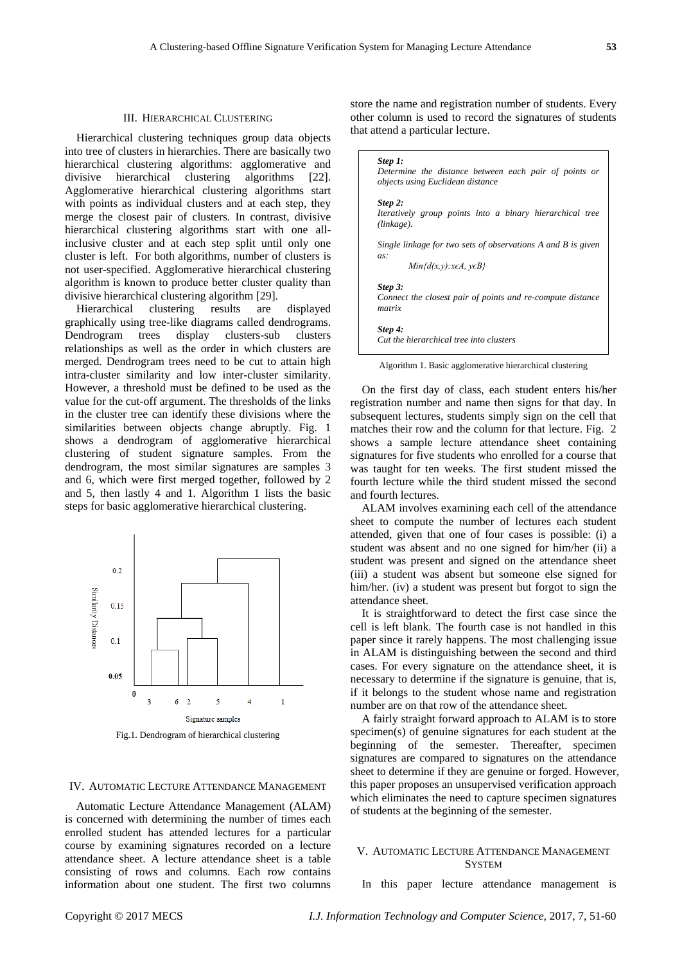### III. HIERARCHICAL CLUSTERING

Hierarchical clustering techniques group data objects into tree of clusters in hierarchies. There are basically two hierarchical clustering algorithms: agglomerative and divisive hierarchical clustering algorithms [22]. Agglomerative hierarchical clustering algorithms start with points as individual clusters and at each step, they merge the closest pair of clusters. In contrast, divisive hierarchical clustering algorithms start with one allinclusive cluster and at each step split until only one cluster is left. For both algorithms, number of clusters is not user-specified. Agglomerative hierarchical clustering algorithm is known to produce better cluster quality than divisive hierarchical clustering algorithm [29].

Hierarchical clustering results are displayed graphically using tree-like diagrams called dendrograms. Dendrogram trees display clusters-sub clusters relationships as well as the order in which clusters are merged. Dendrogram trees need to be cut to attain high intra-cluster similarity and low inter-cluster similarity. However, a threshold must be defined to be used as the value for the cut-off argument. The thresholds of the links in the cluster tree can identify these divisions where the similarities between objects change abruptly. Fig. 1 shows a dendrogram of agglomerative hierarchical clustering of student signature samples. From the dendrogram, the most similar signatures are samples 3 and 6, which were first merged together, followed by 2 and 5, then lastly 4 and 1. Algorithm 1 lists the basic steps for basic agglomerative hierarchical clustering.



Fig.1. Dendrogram of hierarchical clustering

### IV. AUTOMATIC LECTURE ATTENDANCE MANAGEMENT

Automatic Lecture Attendance Management (ALAM) is concerned with determining the number of times each enrolled student has attended lectures for a particular course by examining signatures recorded on a lecture attendance sheet. A lecture attendance sheet is a table consisting of rows and columns. Each row contains information about one student. The first two columns store the name and registration number of students. Every other column is used to record the signatures of students that attend a particular lecture.

| Step 1:       | Determine the distance between each pair of points or<br>objects using Euclidean distance |
|---------------|-------------------------------------------------------------------------------------------|
| Step 2:       |                                                                                           |
| $(linkage)$ . | Iteratively group points into a binary hierarchical tree                                  |
|               | Single linkage for two sets of observations A and B is given                              |
| as:           | $Min{d(x,y):x\in A, y\in B}$                                                              |
| Step 3:       |                                                                                           |
| matrix        | Connect the closest pair of points and re-compute distance                                |
| Step 4:       |                                                                                           |
|               | Cut the hierarchical tree into clusters                                                   |

Algorithm 1. Basic agglomerative hierarchical clustering

On the first day of class, each student enters his/her registration number and name then signs for that day. In subsequent lectures, students simply sign on the cell that matches their row and the column for that lecture. Fig. 2 shows a sample lecture attendance sheet containing signatures for five students who enrolled for a course that was taught for ten weeks. The first student missed the fourth lecture while the third student missed the second and fourth lectures.

ALAM involves examining each cell of the attendance sheet to compute the number of lectures each student attended, given that one of four cases is possible: (i) a student was absent and no one signed for him/her (ii) a student was present and signed on the attendance sheet (iii) a student was absent but someone else signed for him/her. (iv) a student was present but forgot to sign the attendance sheet.

It is straightforward to detect the first case since the cell is left blank. The fourth case is not handled in this paper since it rarely happens. The most challenging issue in ALAM is distinguishing between the second and third cases. For every signature on the attendance sheet, it is necessary to determine if the signature is genuine, that is, if it belongs to the student whose name and registration number are on that row of the attendance sheet.

A fairly straight forward approach to ALAM is to store specimen(s) of genuine signatures for each student at the beginning of the semester. Thereafter, specimen signatures are compared to signatures on the attendance sheet to determine if they are genuine or forged. However, this paper proposes an unsupervised verification approach which eliminates the need to capture specimen signatures of students at the beginning of the semester.

## V. AUTOMATIC LECTURE ATTENDANCE MANAGEMENT **SYSTEM**

In this paper lecture attendance management is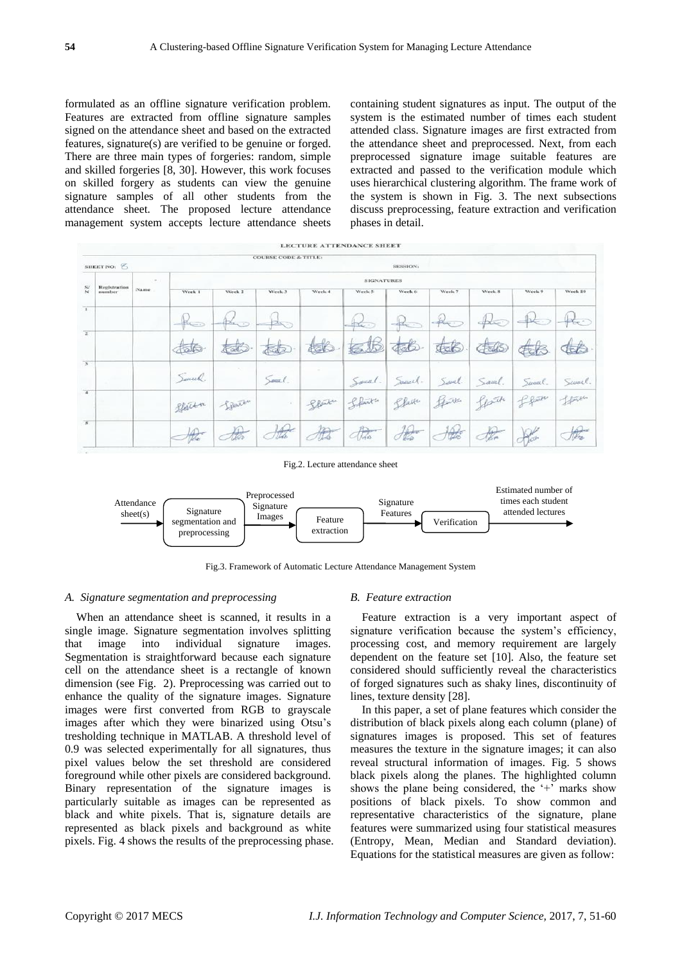formulated as an offline signature verification problem. Features are extracted from offline signature samples signed on the attendance sheet and based on the extracted features, signature(s) are verified to be genuine or forged. There are three main types of forgeries: random, simple and skilled forgeries [8, 30]. However, this work focuses on skilled forgery as students can view the genuine signature samples of all other students from the attendance sheet. The proposed lecture attendance management system accepts lecture attendance sheets

containing student signatures as input. The output of the system is the estimated number of times each student attended class. Signature images are first extracted from the attendance sheet and preprocessed. Next, from each preprocessed signature image suitable features are extracted and passed to the verification module which uses hierarchical clustering algorithm. The frame work of the system is shown in Fig. 3. The next subsections discuss preprocessing, feature extraction and verification phases in detail.





Fig.3. Framework of Automatic Lecture Attendance Management System

#### *A. Signature segmentation and preprocessing*

When an attendance sheet is scanned, it results in a single image. Signature segmentation involves splitting that image into individual signature images. Segmentation is straightforward because each signature cell on the attendance sheet is a rectangle of known dimension (see Fig. 2). Preprocessing was carried out to enhance the quality of the signature images. Signature images were first converted from RGB to grayscale images after which they were binarized using Otsu"s tresholding technique in MATLAB. A threshold level of 0.9 was selected experimentally for all signatures, thus pixel values below the set threshold are considered foreground while other pixels are considered background. Binary representation of the signature images is particularly suitable as images can be represented as black and white pixels. That is, signature details are represented as black pixels and background as white pixels. Fig. 4 shows the results of the preprocessing phase.

#### *B. Feature extraction*

Feature extraction is a very important aspect of signature verification because the system"s efficiency, processing cost, and memory requirement are largely dependent on the feature set [10]. Also, the feature set considered should sufficiently reveal the characteristics of forged signatures such as shaky lines, discontinuity of lines, texture density [28].

In this paper, a set of plane features which consider the distribution of black pixels along each column (plane) of signatures images is proposed. This set of features measures the texture in the signature images; it can also reveal structural information of images. Fig. 5 shows black pixels along the planes. The highlighted column shows the plane being considered, the '+' marks show positions of black pixels. To show common and representative characteristics of the signature, plane features were summarized using four statistical measures (Entropy, Mean, Median and Standard deviation). Equations for the statistical measures are given as follow: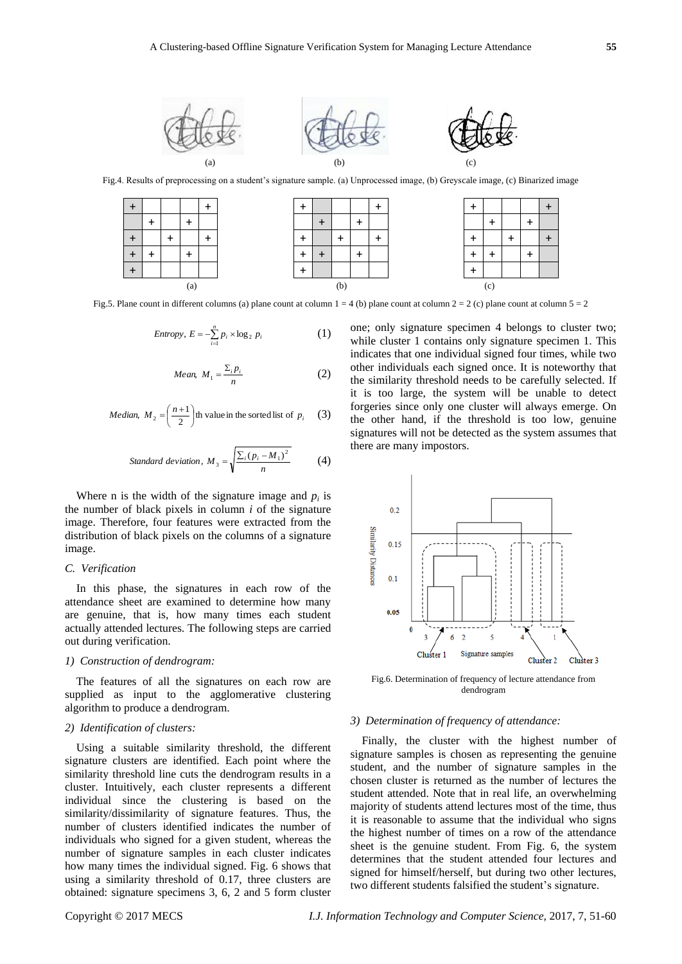

Fig.4. Results of preprocessing on a student's signature sample. (a) Unprocessed image, (b) Greyscale image, (c) Binarized image



Fig.5. Plane count in different columns (a) plane count at column  $1 = 4$  (b) plane count at column  $2 = 2$  (c) plane count at column  $5 = 2$ 

$$
Entropy, E = -\sum_{i=1}^{n} p_i \times \log_2 p_i \tag{1}
$$

Mean, 
$$
M_1 = \frac{\sum_i p_i}{n}
$$
 (2)

*Median,* 
$$
M_2 = \left(\frac{n+1}{2}\right)
$$
th value in the sorted list of  $p_i$  (3)

Standard deviation, 
$$
M_3 = \sqrt{\frac{\sum_i (p_i - M_1)^2}{n}}
$$
 (4)

Where n is the width of the signature image and  $p_i$  is the number of black pixels in column *i* of the signature image. Therefore, four features were extracted from the distribution of black pixels on the columns of a signature image.

## *C. Verification*

In this phase, the signatures in each row of the attendance sheet are examined to determine how many are genuine, that is, how many times each student actually attended lectures. The following steps are carried out during verification.

## *1) Construction of dendrogram:*

The features of all the signatures on each row are supplied as input to the agglomerative clustering algorithm to produce a dendrogram.

## *2) Identification of clusters:*

Using a suitable similarity threshold, the different signature clusters are identified. Each point where the similarity threshold line cuts the dendrogram results in a cluster. Intuitively, each cluster represents a different individual since the clustering is based on the similarity/dissimilarity of signature features. Thus, the number of clusters identified indicates the number of individuals who signed for a given student, whereas the number of signature samples in each cluster indicates how many times the individual signed. Fig. 6 shows that using a similarity threshold of 0.17, three clusters are obtained: signature specimens 3, 6, 2 and 5 form cluster one; only signature specimen 4 belongs to cluster two; while cluster 1 contains only signature specimen 1. This indicates that one individual signed four times, while two other individuals each signed once. It is noteworthy that the similarity threshold needs to be carefully selected. If it is too large, the system will be unable to detect forgeries since only one cluster will always emerge. On the other hand, if the threshold is too low, genuine signatures will not be detected as the system assumes that there are many impostors.



Fig.6. Determination of frequency of lecture attendance from dendrogram

#### *3) Determination of frequency of attendance:*

Finally, the cluster with the highest number of signature samples is chosen as representing the genuine student, and the number of signature samples in the chosen cluster is returned as the number of lectures the student attended. Note that in real life, an overwhelming majority of students attend lectures most of the time, thus it is reasonable to assume that the individual who signs the highest number of times on a row of the attendance sheet is the genuine student. From Fig. 6, the system determines that the student attended four lectures and signed for himself/herself, but during two other lectures, two different students falsified the student's signature.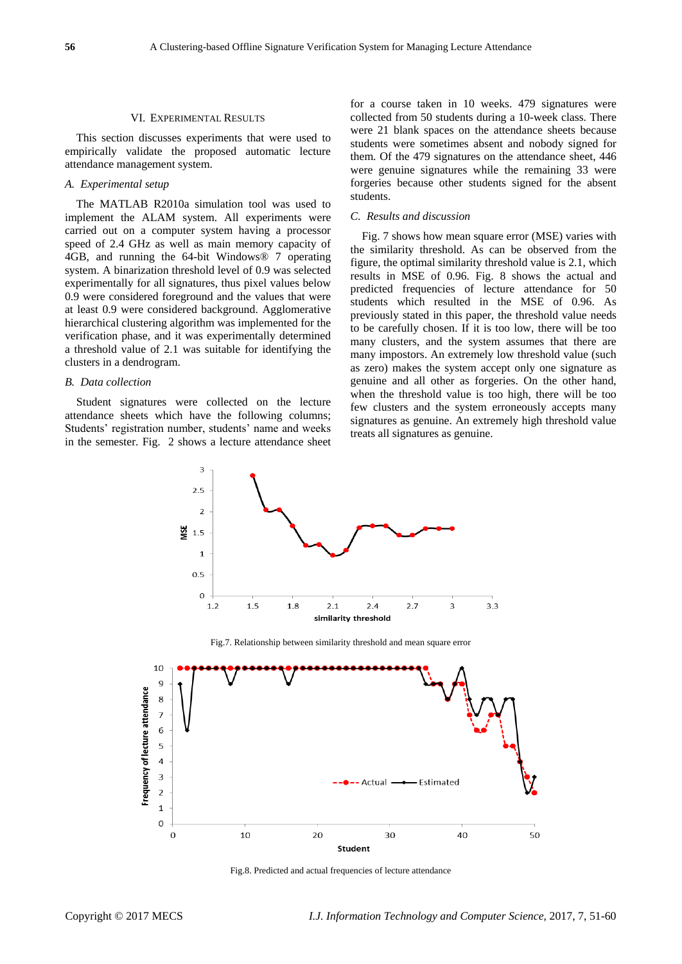#### VI. EXPERIMENTAL RESULTS

This section discusses experiments that were used to empirically validate the proposed automatic lecture attendance management system.

## *A. Experimental setup*

The MATLAB R2010a simulation tool was used to implement the ALAM system. All experiments were carried out on a computer system having a processor speed of 2.4 GHz as well as main memory capacity of 4GB, and running the 64-bit Windows® 7 operating system. A binarization threshold level of 0.9 was selected experimentally for all signatures, thus pixel values below 0.9 were considered foreground and the values that were at least 0.9 were considered background. Agglomerative hierarchical clustering algorithm was implemented for the verification phase, and it was experimentally determined a threshold value of 2.1 was suitable for identifying the clusters in a dendrogram.

## *B. Data collection*

Student signatures were collected on the lecture attendance sheets which have the following columns; Students' registration number, students' name and weeks in the semester. Fig. 2 shows a lecture attendance sheet for a course taken in 10 weeks. 479 signatures were collected from 50 students during a 10-week class. There were 21 blank spaces on the attendance sheets because students were sometimes absent and nobody signed for them. Of the 479 signatures on the attendance sheet, 446 were genuine signatures while the remaining 33 were forgeries because other students signed for the absent students.

#### *C. Results and discussion*

Fig. 7 shows how mean square error (MSE) varies with the similarity threshold. As can be observed from the figure, the optimal similarity threshold value is 2.1, which results in MSE of 0.96. Fig. 8 shows the actual and predicted frequencies of lecture attendance for 50 students which resulted in the MSE of 0.96. As previously stated in this paper, the threshold value needs to be carefully chosen. If it is too low, there will be too many clusters, and the system assumes that there are many impostors. An extremely low threshold value (such as zero) makes the system accept only one signature as genuine and all other as forgeries. On the other hand, when the threshold value is too high, there will be too few clusters and the system erroneously accepts many signatures as genuine. An extremely high threshold value treats all signatures as genuine.



Fig.8. Predicted and actual frequencies of lecture attendance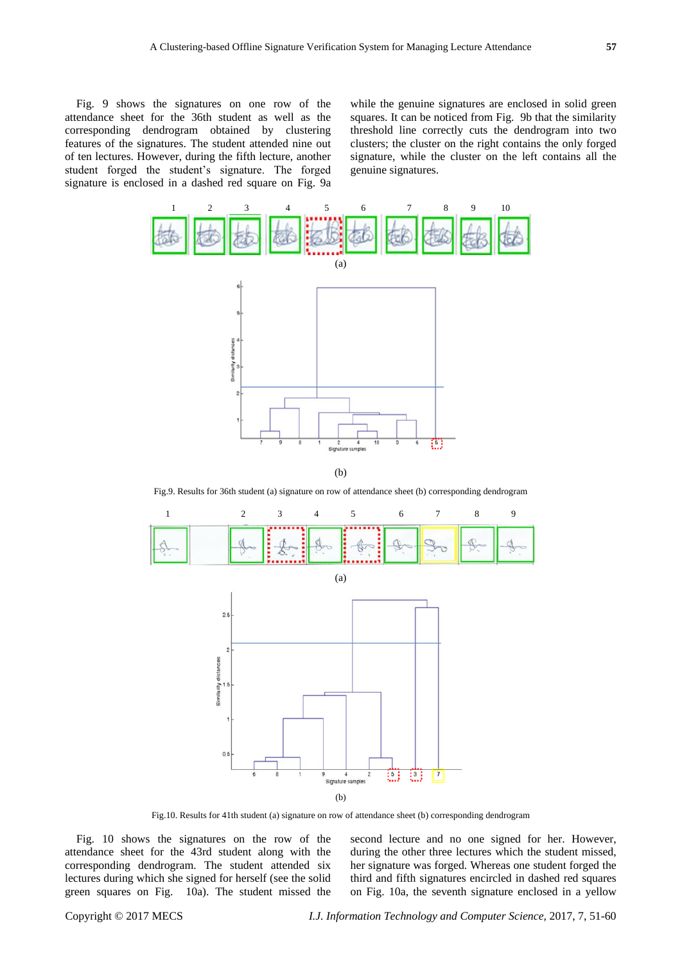Fig. 9 shows the signatures on one row of the attendance sheet for the 36th student as well as the corresponding dendrogram obtained by clustering features of the signatures. The student attended nine out of ten lectures. However, during the fifth lecture, another student forged the student"s signature. The forged signature is enclosed in a dashed red square on Fig. 9a

while the genuine signatures are enclosed in solid green squares. It can be noticed from Fig. 9b that the similarity threshold line correctly cuts the dendrogram into two clusters; the cluster on the right contains the only forged signature, while the cluster on the left contains all the genuine signatures.



Fig.9. Results for 36th student (a) signature on row of attendance sheet (b) corresponding dendrogram



Fig.10. Results for 41th student (a) signature on row of attendance sheet (b) corresponding dendrogram

Fig. 10 shows the signatures on the row of the attendance sheet for the 43rd student along with the corresponding dendrogram. The student attended six lectures during which she signed for herself (see the solid green squares on Fig. 10a). The student missed the second lecture and no one signed for her. However, during the other three lectures which the student missed, her signature was forged. Whereas one student forged the third and fifth signatures encircled in dashed red squares on Fig. 10a, the seventh signature enclosed in a yellow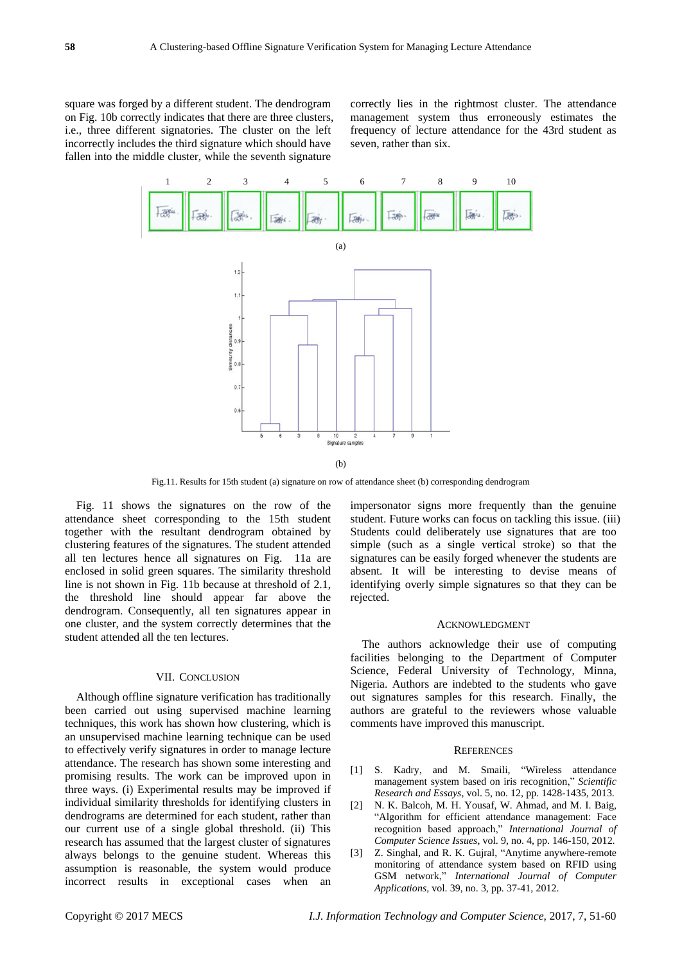square was forged by a different student. The dendrogram on Fig. 10b correctly indicates that there are three clusters, i.e., three different signatories. The cluster on the left incorrectly includes the third signature which should have fallen into the middle cluster, while the seventh signature

correctly lies in the rightmost cluster. The attendance management system thus erroneously estimates the frequency of lecture attendance for the 43rd student as seven, rather than six.



Fig.11. Results for 15th student (a) signature on row of attendance sheet (b) corresponding dendrogram

Fig. 11 shows the signatures on the row of the attendance sheet corresponding to the 15th student together with the resultant dendrogram obtained by clustering features of the signatures. The student attended all ten lectures hence all signatures on Fig. 11a are enclosed in solid green squares. The similarity threshold line is not shown in Fig. 11b because at threshold of 2.1, the threshold line should appear far above the dendrogram. Consequently, all ten signatures appear in one cluster, and the system correctly determines that the student attended all the ten lectures.

#### VII. CONCLUSION

Although offline signature verification has traditionally been carried out using supervised machine learning techniques, this work has shown how clustering, which is an unsupervised machine learning technique can be used to effectively verify signatures in order to manage lecture attendance. The research has shown some interesting and promising results. The work can be improved upon in three ways. (i) Experimental results may be improved if individual similarity thresholds for identifying clusters in dendrograms are determined for each student, rather than our current use of a single global threshold. (ii) This research has assumed that the largest cluster of signatures always belongs to the genuine student. Whereas this assumption is reasonable, the system would produce incorrect results in exceptional cases when an

impersonator signs more frequently than the genuine student. Future works can focus on tackling this issue. (iii) Students could deliberately use signatures that are too simple (such as a single vertical stroke) so that the signatures can be easily forged whenever the students are absent. It will be interesting to devise means of identifying overly simple signatures so that they can be rejected.

### ACKNOWLEDGMENT

The authors acknowledge their use of computing facilities belonging to the Department of Computer Science, Federal University of Technology, Minna, Nigeria. Authors are indebted to the students who gave out signatures samples for this research. Finally, the authors are grateful to the reviewers whose valuable comments have improved this manuscript.

#### **REFERENCES**

- [1] S. Kadry, and M. Smaili, "Wireless attendance management system based on iris recognition," *Scientific Research and Essays*, vol. 5, no. 12, pp. 1428-1435, 2013.
- [2] N. K. Balcoh, M. H. Yousaf, W. Ahmad, and M. I. Baig, "Algorithm for efficient attendance management: Face recognition based approach," *International Journal of Computer Science Issues*, vol. 9, no. 4, pp. 146-150, 2012.
- [3] Z. Singhal, and R. K. Gujral, "Anytime anywhere-remote monitoring of attendance system based on RFID using GSM network," *International Journal of Computer Applications*, vol. 39, no. 3, pp. 37-41, 2012.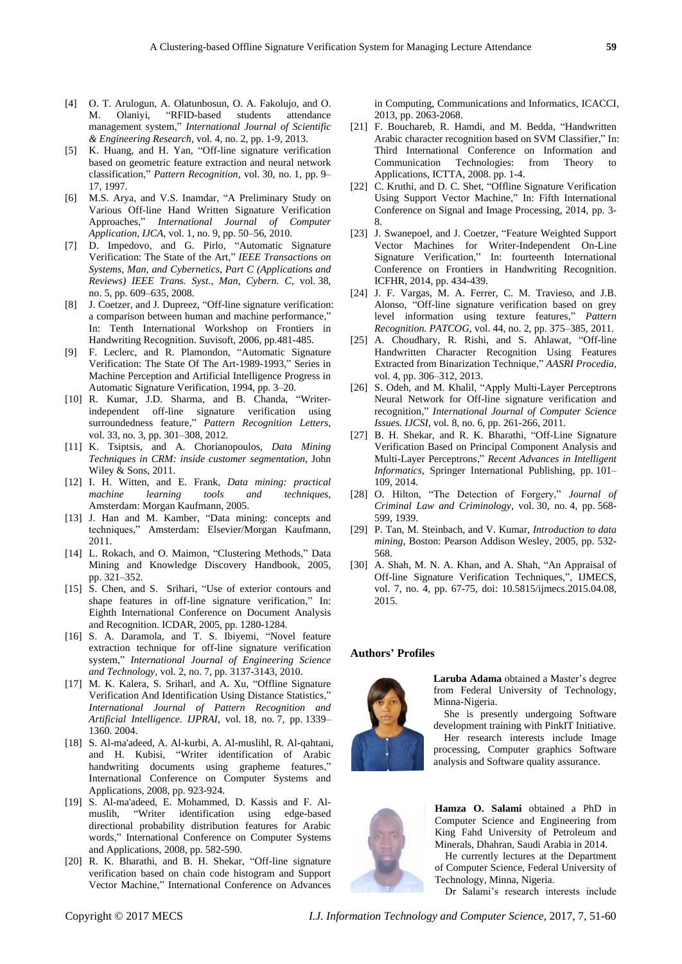- [4] O. T. Arulogun, A. Olatunbosun, O. A. Fakolujo, and O. M. Olaniyi, "RFID-based students attendance management system," *International Journal of Scientific & Engineering Research*, vol. 4, no. 2, pp. 1-9, 2013.
- [5] K. Huang, and H. Yan, "Off-line signature verification based on geometric feature extraction and neural network classification," *Pattern Recognition*, vol. 30, no. 1, pp. 9– 17, 1997.
- [6] M.S. Arya, and V.S. Inamdar, "A Preliminary Study on Various Off-line Hand Written Signature Verification Approaches," *International Journal of Computer Application, IJCA*, vol. 1, no. 9, pp. 50–56, 2010.
- [7] D. Impedovo, and G. Pirlo, "Automatic Signature Verification: The State of the Art," *IEEE Transactions on Systems, Man, and Cybernetics, Part C (Applications and Reviews) IEEE Trans. Syst., Man, Cybern. C*, vol. 38, no. 5, pp. 609–635, 2008.
- [8] J. Coetzer, and J. Dupreez, "Off-line signature verification: a comparison between human and machine performance," In: Tenth International Workshop on Frontiers in Handwriting Recognition. Suvisoft, 2006, pp.481-485.
- [9] F. Leclerc, and R. Plamondon, "Automatic Signature Verification: The State Of The Art-1989-1993," Series in Machine Perception and Artificial Intelligence Progress in Automatic Signature Verification, 1994, pp. 3–20.
- [10] R. Kumar, J.D. Sharma, and B. Chanda, "Writerindependent off-line signature verification using surroundedness feature," *Pattern Recognition Letters*, vol. 33, no. 3, pp. 301–308, 2012.
- [11] K. Tsiptsis, and A. Chorianopoulos, *Data Mining Techniques in CRM: inside customer segmentation*, John Wiley & Sons, 2011.
- [12] I. H. Witten, and E. Frank, *Data mining: practical machine learning tools and techniques*, Amsterdam: Morgan Kaufmann, 2005.
- [13] J. Han and M. Kamber, "Data mining: concepts and techniques," Amsterdam: Elsevier/Morgan Kaufmann, 2011.
- [14] L. Rokach, and O. Maimon, "Clustering Methods," Data Mining and Knowledge Discovery Handbook, 2005, pp. 321–352.
- [15] S. Chen, and S. Srihari, "Use of exterior contours and shape features in off-line signature verification," In: Eighth International Conference on Document Analysis and Recognition. ICDAR, 2005, pp. 1280-1284.
- [16] S. A. Daramola, and T. S. Ibiyemi, "Novel feature extraction technique for off-line signature verification system," *International Journal of Engineering Science and Technology*, vol. 2, no. 7, pp. 3137-3143, 2010.
- [17] M. K. Kalera, S. Sriharl, and A. Xu, "Offline Signature Verification And Identification Using Distance Statistics," *International Journal of Pattern Recognition and Artificial Intelligence. IJPRAI*, vol. 18, no. 7, pp. 1339– 1360. 2004.
- [18] S. Al-ma'adeed, A. Al-kurbi, A. Al-muslihl, R. Al-qahtani, and H. Kubisi, "Writer identification of Arabic handwriting documents using grapheme features," International Conference on Computer Systems and Applications, 2008, pp. 923-924.
- [19] S. Al-ma'adeed, E. Mohammed, D. Kassis and F. Almuslih, "Writer identification using edge-based directional probability distribution features for Arabic words," International Conference on Computer Systems and Applications, 2008, pp. 582-590.
- [20] R. K. Bharathi, and B. H. Shekar, "Off-line signature verification based on chain code histogram and Support Vector Machine," International Conference on Advances

in Computing, Communications and Informatics, ICACCI, 2013, pp. 2063-2068.

- [21] F. Bouchareb, R. Hamdi, and M. Bedda, "Handwritten Arabic character recognition based on SVM Classifier," In: Third International Conference on Information and Communication Technologies: from Theory to Applications, ICTTA, 2008. pp. 1-4.
- [22] C. Kruthi, and D. C. Shet, "Offline Signature Verification" Using Support Vector Machine," In: Fifth International Conference on Signal and Image Processing, 2014, pp. 3- 8.
- [23] J. Swanepoel, and J. Coetzer, "Feature Weighted Support Vector Machines for Writer-Independent On-Line Signature Verification," In: fourteenth International Conference on Frontiers in Handwriting Recognition. ICFHR, 2014, pp. 434-439.
- [24] J. F. Vargas, M. A. Ferrer, C. M. Travieso, and J.B. Alonso, "Off-line signature verification based on grey level information using texture features," *Pattern Recognition. PATCOG*, vol. 44, no. 2, pp. 375–385, 2011.
- [25] A. Choudhary, R. Rishi, and S. Ahlawat, "Off-line Handwritten Character Recognition Using Features Extracted from Binarization Technique," *AASRI Procedia*, vol. 4, pp. 306–312, 2013.
- [26] S. Odeh, and M. Khalil, "Apply Multi-Layer Perceptrons Neural Network for Off-line signature verification and recognition," *International Journal of Computer Science Issues. IJCSI*, vol. 8, no. 6, pp. 261-266, 2011.
- [27] B. H. Shekar, and R. K. Bharathi, "Off-Line Signature Verification Based on Principal Component Analysis and Multi-Layer Perceptrons," *Recent Advances in Intelligent Informatics,* Springer International Publishing, pp. 101– 109, 2014.
- [28] O. Hilton, "The Detection of Forgery," *Journal of Criminal Law and Criminology*, vol. 30, no. 4, pp. 568- 599, 1939.
- [29] P. Tan, M. Steinbach, and V. Kumar, *Introduction to data mining*, Boston: Pearson Addison Wesley, 2005, pp. 532- 568.
- [30] A. Shah, M. N. A. Khan, and A. Shah, "An Appraisal of Off-line Signature Verification Techniques,", IJMECS, vol. 7, no. 4, pp. 67-75, doi: 10.5815/ijmecs.2015.04.08, 2015.

## **Authors' Profiles**



Laruba Adama obtained a Master's degree from Federal University of Technology, Minna-Nigeria.

She is presently undergoing Software development training with PinkIT Initiative. Her research interests include Image processing, Computer graphics Software analysis and Software quality assurance.

**Hamza O. Salami** obtained a PhD in Computer Science and Engineering from King Fahd University of Petroleum and Minerals, Dhahran, Saudi Arabia in 2014.

He currently lectures at the Department of Computer Science, Federal University of Technology, Minna, Nigeria.

Dr Salami"s research interests include

Copyright © 2017 MECS *I.J. Information Technology and Computer Science,* 2017, 7, 51-60